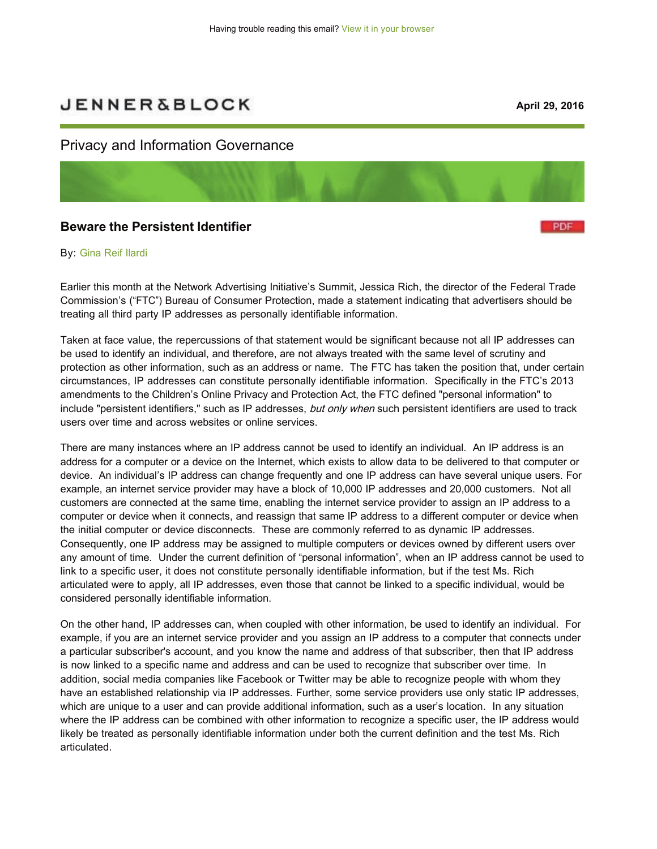# **JENNER&BLOCK**

**PDF** 

## Privacy and Information Governance

## **Beware the Persistent Identifier**

#### By: [Gina Reif Ilardi](https://jenner.com/people/GinaIlardi)

Earlier this month at the Network Advertising Initiative's Summit, Jessica Rich, the director of the Federal Trade Commission's ("FTC") Bureau of Consumer Protection, made a statement indicating that advertisers should be treating all third party IP addresses as personally identifiable information.

Taken at face value, the repercussions of that statement would be significant because not all IP addresses can be used to identify an individual, and therefore, are not always treated with the same level of scrutiny and protection as other information, such as an address or name. The FTC has taken the position that, under certain circumstances, IP addresses can constitute personally identifiable information. Specifically in the FTC's 2013 amendments to the Children's Online Privacy and Protection Act, the FTC defined "personal information" to include "persistent identifiers," such as IP addresses, but only when such persistent identifiers are used to track users over time and across websites or online services.

There are many instances where an IP address cannot be used to identify an individual. An IP address is an address for a computer or a device on the Internet, which exists to allow data to be delivered to that computer or device. An individual's IP address can change frequently and one IP address can have several unique users. For example, an internet service provider may have a block of 10,000 IP addresses and 20,000 customers. Not all customers are connected at the same time, enabling the internet service provider to assign an IP address to a computer or device when it connects, and reassign that same IP address to a different computer or device when the initial computer or device disconnects. These are commonly referred to as dynamic IP addresses. Consequently, one IP address may be assigned to multiple computers or devices owned by different users over any amount of time. Under the current definition of "personal information", when an IP address cannot be used to link to a specific user, it does not constitute personally identifiable information, but if the test Ms. Rich articulated were to apply, all IP addresses, even those that cannot be linked to a specific individual, would be considered personally identifiable information.

On the other hand, IP addresses can, when coupled with other information, be used to identify an individual. For example, if you are an internet service provider and you assign an IP address to a computer that connects under a particular subscriber's account, and you know the name and address of that subscriber, then that IP address is now linked to a specific name and address and can be used to recognize that subscriber over time. In addition, social media companies like Facebook or Twitter may be able to recognize people with whom they have an established relationship via IP addresses. Further, some service providers use only static IP addresses, which are unique to a user and can provide additional information, such as a user's location. In any situation where the IP address can be combined with other information to recognize a specific user, the IP address would likely be treated as personally identifiable information under both the current definition and the test Ms. Rich articulated.